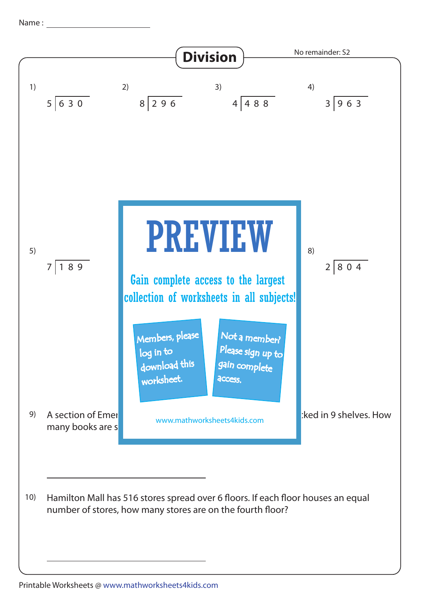